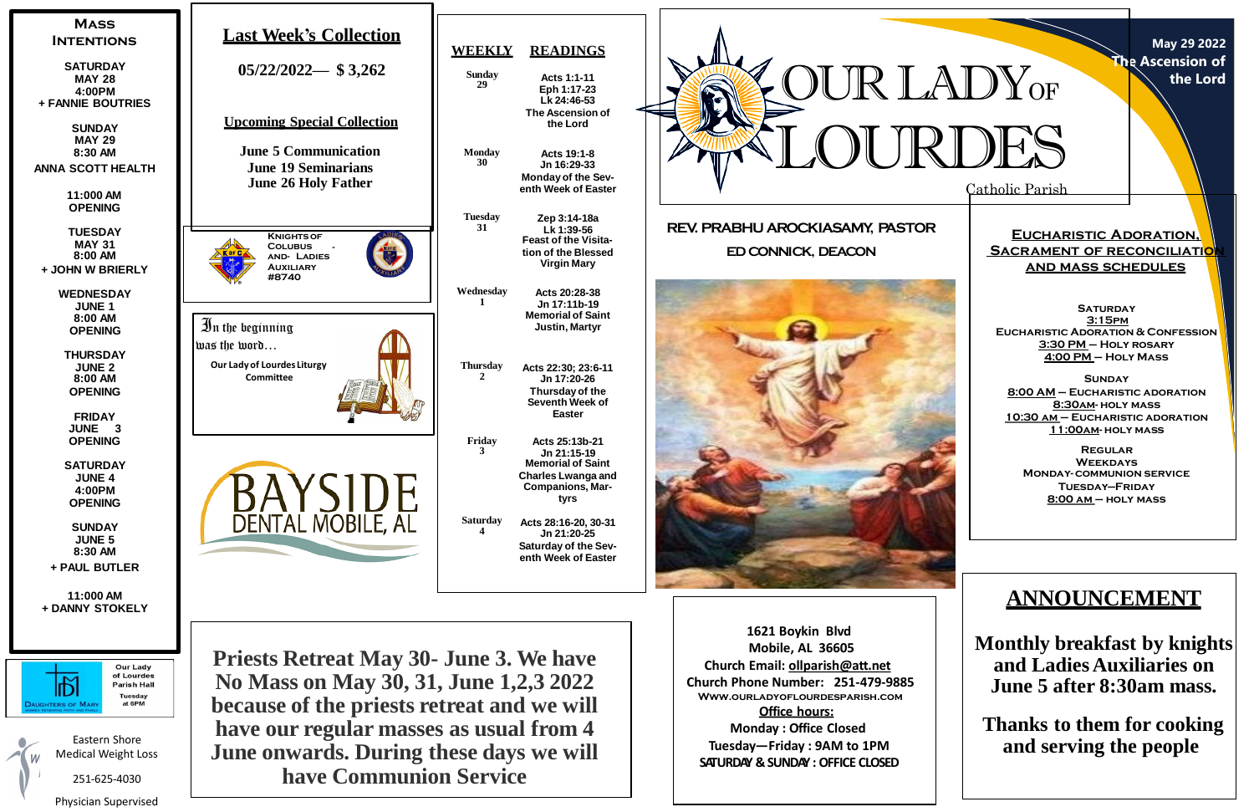Catholic Parish

**May 29 2022 The Ascension of the Lord**

**Eucharistic Adoration, SACRAMENT OF RECONCILIATION and mass schedules**

**SATURDAY 3:15pm Eucharistic Adoration & Confession 3:30 PM – Holy rosary 4:00 PM – Holy Mass**

**Sunday 8:00 AM – Eucharistic adoration 8:30am- holy mass 10:30 am – Eucharistic adoration 11:00am- holy mass**

**Regular Weekdays Monday- communion service Tuesday—Friday 8:00 am – holy mass**



# **ANNOUNCEMENT**

**Monthly breakfast by knights and LadiesAuxiliaries on June 5 after 8:30am mass.**

**Thanks to them for cooking and serving the people**